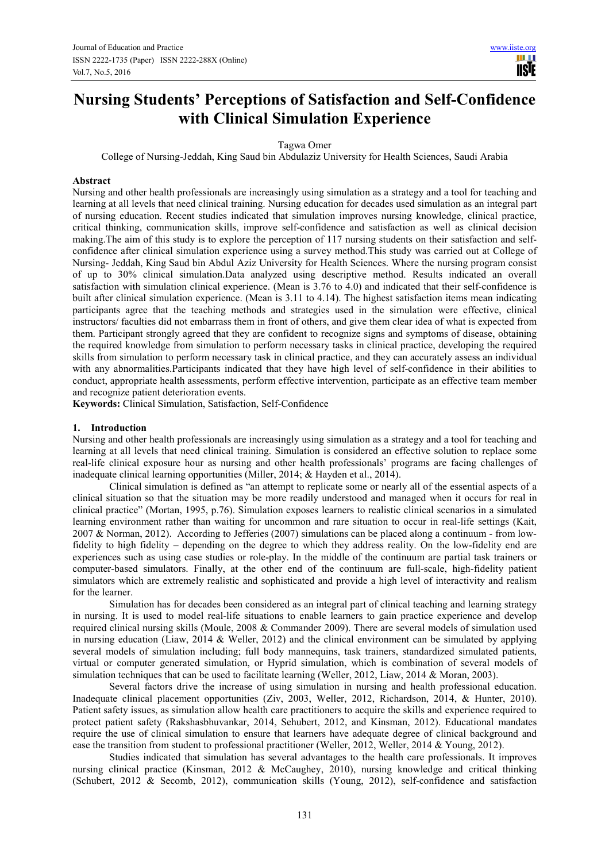**TISIE** 

# **Nursing Students' Perceptions of Satisfaction and Self-Confidence with Clinical Simulation Experience**

Tagwa Omer

College of Nursing-Jeddah, King Saud bin Abdulaziz University for Health Sciences, Saudi Arabia

#### **Abstract**

Nursing and other health professionals are increasingly using simulation as a strategy and a tool for teaching and learning at all levels that need clinical training. Nursing education for decades used simulation as an integral part of nursing education. Recent studies indicated that simulation improves nursing knowledge, clinical practice, critical thinking, communication skills, improve self-confidence and satisfaction as well as clinical decision making.The aim of this study is to explore the perception of 117 nursing students on their satisfaction and selfconfidence after clinical simulation experience using a survey method.This study was carried out at College of Nursing- Jeddah, King Saud bin Abdul Aziz University for Health Sciences. Where the nursing program consist of up to 30% clinical simulation.Data analyzed using descriptive method. Results indicated an overall satisfaction with simulation clinical experience. (Mean is 3.76 to 4.0) and indicated that their self-confidence is built after clinical simulation experience. (Mean is 3.11 to 4.14). The highest satisfaction items mean indicating participants agree that the teaching methods and strategies used in the simulation were effective, clinical instructors/ faculties did not embarrass them in front of others, and give them clear idea of what is expected from them. Participant strongly agreed that they are confident to recognize signs and symptoms of disease, obtaining the required knowledge from simulation to perform necessary tasks in clinical practice, developing the required skills from simulation to perform necessary task in clinical practice, and they can accurately assess an individual with any abnormalities.Participants indicated that they have high level of self-confidence in their abilities to conduct, appropriate health assessments, perform effective intervention, participate as an effective team member and recognize patient deterioration events.

**Keywords:** Clinical Simulation, Satisfaction, Self-Confidence

## **1. Introduction**

Nursing and other health professionals are increasingly using simulation as a strategy and a tool for teaching and learning at all levels that need clinical training. Simulation is considered an effective solution to replace some real-life clinical exposure hour as nursing and other health professionals' programs are facing challenges of inadequate clinical learning opportunities (Miller, 2014; & Hayden et al., 2014).

Clinical simulation is defined as "an attempt to replicate some or nearly all of the essential aspects of a clinical situation so that the situation may be more readily understood and managed when it occurs for real in clinical practice" (Mortan, 1995, p.76). Simulation exposes learners to realistic clinical scenarios in a simulated learning environment rather than waiting for uncommon and rare situation to occur in real-life settings (Kait, 2007 & Norman, 2012). According to Jefferies (2007) simulations can be placed along a continuum - from lowfidelity to high fidelity – depending on the degree to which they address reality. On the low-fidelity end are experiences such as using case studies or role-play. In the middle of the continuum are partial task trainers or computer-based simulators. Finally, at the other end of the continuum are full-scale, high-fidelity patient simulators which are extremely realistic and sophisticated and provide a high level of interactivity and realism for the learner.

Simulation has for decades been considered as an integral part of clinical teaching and learning strategy in nursing. It is used to model real-life situations to enable learners to gain practice experience and develop required clinical nursing skills (Moule, 2008 & Commander 2009). There are several models of simulation used in nursing education (Liaw, 2014 & Weller, 2012) and the clinical environment can be simulated by applying several models of simulation including; full body mannequins, task trainers, standardized simulated patients, virtual or computer generated simulation, or Hyprid simulation, which is combination of several models of simulation techniques that can be used to facilitate learning (Weller, 2012, Liaw, 2014 & Moran, 2003).

Several factors drive the increase of using simulation in nursing and health professional education. Inadequate clinical placement opportunities (Ziv, 2003, Weller, 2012, Richardson, 2014, & Hunter, 2010). Patient safety issues, as simulation allow health care practitioners to acquire the skills and experience required to protect patient safety (Rakshasbhuvankar, 2014, Sehubert, 2012, and Kinsman, 2012). Educational mandates require the use of clinical simulation to ensure that learners have adequate degree of clinical background and ease the transition from student to professional practitioner (Weller, 2012, Weller, 2014 & Young, 2012).

Studies indicated that simulation has several advantages to the health care professionals. It improves nursing clinical practice (Kinsman, 2012 & McCaughey, 2010), nursing knowledge and critical thinking (Schubert, 2012 & Secomb, 2012), communication skills (Young, 2012), self-confidence and satisfaction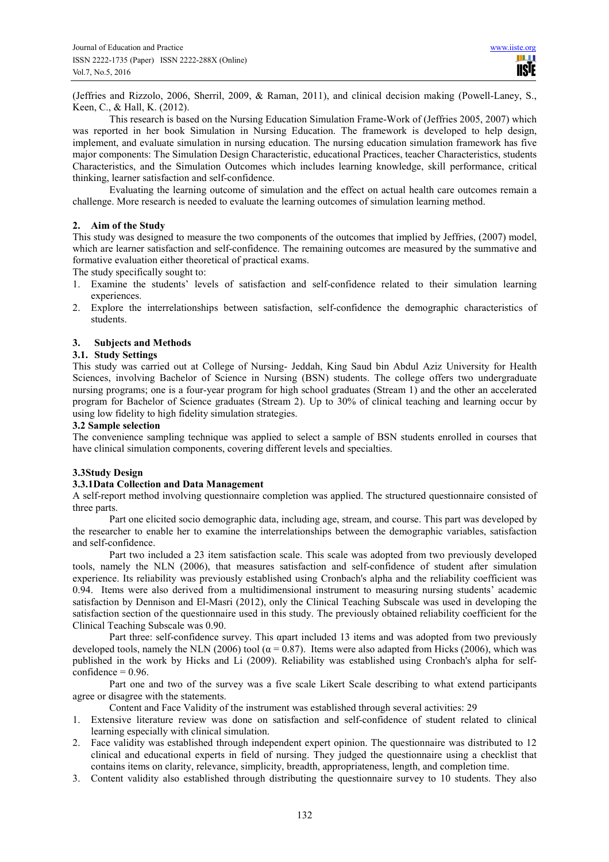(Jeffries and Rizzolo, 2006, Sherril, 2009, & Raman, 2011), and clinical decision making (Powell-Laney, S., Keen, C., & Hall, K. (2012).

This research is based on the Nursing Education Simulation Frame-Work of (Jeffries 2005, 2007) which was reported in her book Simulation in Nursing Education. The framework is developed to help design, implement, and evaluate simulation in nursing education. The nursing education simulation framework has five major components: The Simulation Design Characteristic, educational Practices, teacher Characteristics, students Characteristics, and the Simulation Outcomes which includes learning knowledge, skill performance, critical thinking, learner satisfaction and self-confidence.

Evaluating the learning outcome of simulation and the effect on actual health care outcomes remain a challenge. More research is needed to evaluate the learning outcomes of simulation learning method.

## **2. Aim of the Study**

This study was designed to measure the two components of the outcomes that implied by Jeffries, (2007) model, which are learner satisfaction and self-confidence. The remaining outcomes are measured by the summative and formative evaluation either theoretical of practical exams.

The study specifically sought to:

- 1. Examine the students' levels of satisfaction and self-confidence related to their simulation learning experiences.
- 2. Explore the interrelationships between satisfaction, self-confidence the demographic characteristics of students.

# **3. Subjects and Methods**

# **3.1. Study Settings**

This study was carried out at College of Nursing- Jeddah, King Saud bin Abdul Aziz University for Health Sciences, involving Bachelor of Science in Nursing (BSN) students. The college offers two undergraduate nursing programs; one is a four-year program for high school graduates (Stream 1) and the other an accelerated program for Bachelor of Science graduates (Stream 2). Up to 30% of clinical teaching and learning occur by using low fidelity to high fidelity simulation strategies.

## **3.2 Sample selection**

The convenience sampling technique was applied to select a sample of BSN students enrolled in courses that have clinical simulation components, covering different levels and specialties.

## **3.3Study Design**

## **3.3.1Data Collection and Data Management**

A self-report method involving questionnaire completion was applied. The structured questionnaire consisted of three parts.

Part one elicited socio demographic data, including age, stream, and course. This part was developed by the researcher to enable her to examine the interrelationships between the demographic variables, satisfaction and self-confidence.

Part two included a 23 item satisfaction scale. This scale was adopted from two previously developed tools, namely the NLN (2006), that measures satisfaction and self-confidence of student after simulation experience. Its reliability was previously established using Cronbach's alpha and the reliability coefficient was 0.94. Items were also derived from a multidimensional instrument to measuring nursing students' academic satisfaction by Dennison and El-Masri (2012), only the Clinical Teaching Subscale was used in developing the satisfaction section of the questionnaire used in this study. The previously obtained reliability coefficient for the Clinical Teaching Subscale was 0.90.

Part three: self-confidence survey. This apart included 13 items and was adopted from two previously developed tools, namely the NLN (2006) tool ( $\alpha$  = 0.87). Items were also adapted from Hicks (2006), which was published in the work by Hicks and Li (2009). Reliability was established using Cronbach's alpha for self $confidence = 0.96.$ 

Part one and two of the survey was a five scale Likert Scale describing to what extend participants agree or disagree with the statements.

- Content and Face Validity of the instrument was established through several activities: 29
- 1. Extensive literature review was done on satisfaction and self-confidence of student related to clinical learning especially with clinical simulation.
- 2. Face validity was established through independent expert opinion. The questionnaire was distributed to 12 clinical and educational experts in field of nursing. They judged the questionnaire using a checklist that contains items on clarity, relevance, simplicity, breadth, appropriateness, length, and completion time.
- 3. Content validity also established through distributing the questionnaire survey to 10 students. They also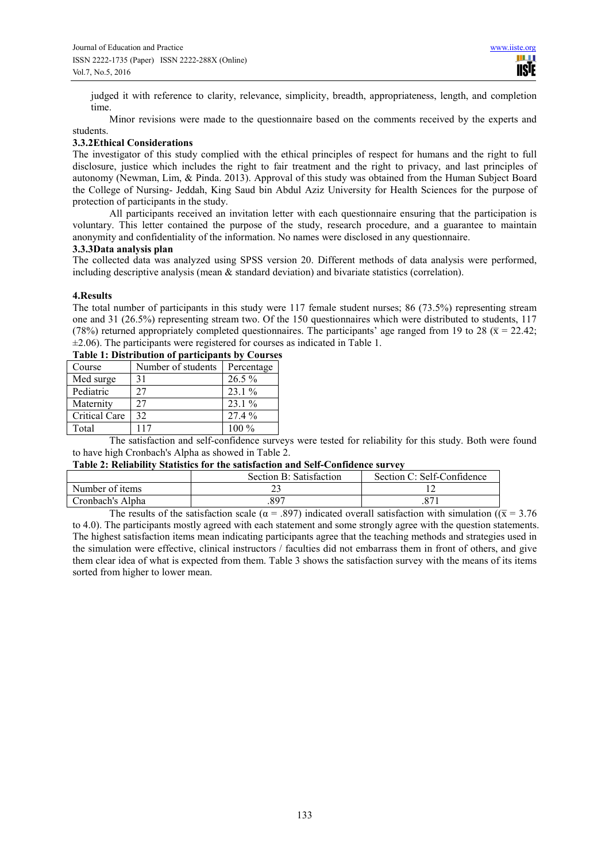judged it with reference to clarity, relevance, simplicity, breadth, appropriateness, length, and completion time.

Minor revisions were made to the questionnaire based on the comments received by the experts and students.

## **3.3.2Ethical Considerations**

The investigator of this study complied with the ethical principles of respect for humans and the right to full disclosure, justice which includes the right to fair treatment and the right to privacy, and last principles of autonomy (Newman, Lim, & Pinda. 2013). Approval of this study was obtained from the Human Subject Board the College of Nursing- Jeddah, King Saud bin Abdul Aziz University for Health Sciences for the purpose of protection of participants in the study.

All participants received an invitation letter with each questionnaire ensuring that the participation is voluntary. This letter contained the purpose of the study, research procedure, and a guarantee to maintain anonymity and confidentiality of the information. No names were disclosed in any questionnaire.

## **3.3.3Data analysis plan**

The collected data was analyzed using SPSS version 20. Different methods of data analysis were performed, including descriptive analysis (mean & standard deviation) and bivariate statistics (correlation).

## **4.Results**

The total number of participants in this study were 117 female student nurses; 86 (73.5%) representing stream one and 31 (26.5%) representing stream two. Of the 150 questionnaires which were distributed to students, 117 (78%) returned appropriately completed questionnaires. The participants' age ranged from 19 to 28 ( $\bar{x}$  = 22.42;  $\pm$ 2.06). The participants were registered for courses as indicated in Table 1.

| rabit 1. Distribution or participants by Courses |                    |            |  |  |  |
|--------------------------------------------------|--------------------|------------|--|--|--|
| Course                                           | Number of students | Percentage |  |  |  |
| Med surge                                        | 31                 | $26.5\%$   |  |  |  |
| Pediatric                                        | 27                 | $23.1\%$   |  |  |  |
| Maternity                                        | 27                 | $23.1\%$   |  |  |  |
| Critical Care                                    | 32                 | 27.4 %     |  |  |  |
| Total                                            | 117                | 100 %      |  |  |  |

**Table 1: Distribution of participants by Courses** 

The satisfaction and self-confidence surveys were tested for reliability for this study. Both were found to have high Cronbach's Alpha as showed in Table 2.

**Table 2: Reliability Statistics for the satisfaction and Self-Confidence survey** 

|                  | Section B: Satisfaction | Section C: Self-Confidence |
|------------------|-------------------------|----------------------------|
| Number of items  |                         |                            |
| Cronbach's Alpha | .897                    | .87                        |

The results of the satisfaction scale ( $\alpha$  = .897) indicated overall satisfaction with simulation ( $\overline{x}$  = 3.76 to 4.0). The participants mostly agreed with each statement and some strongly agree with the question statements. The highest satisfaction items mean indicating participants agree that the teaching methods and strategies used in the simulation were effective, clinical instructors / faculties did not embarrass them in front of others, and give them clear idea of what is expected from them. Table 3 shows the satisfaction survey with the means of its items sorted from higher to lower mean.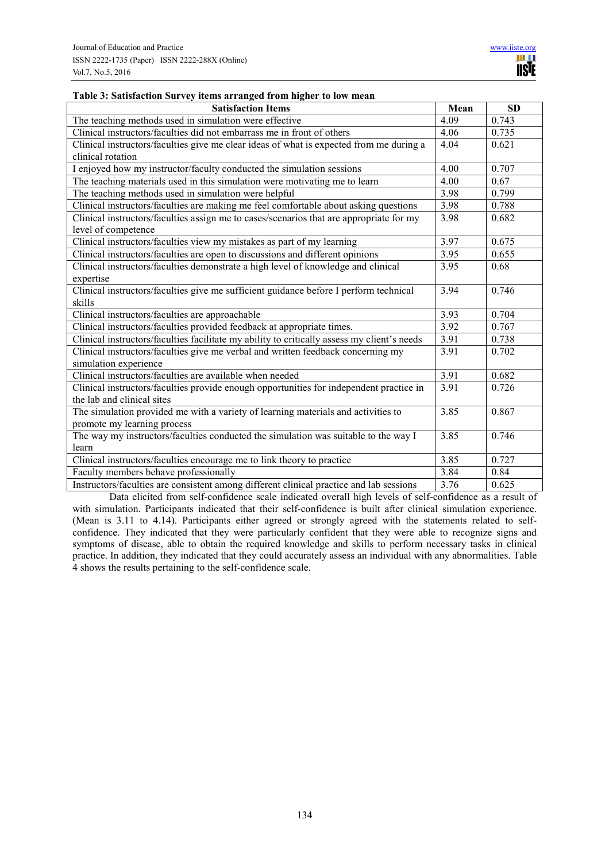## **Table 3: Satisfaction Survey items arranged from higher to low mean**

| <b>Satisfaction Items</b>                                                                   | Mean | <b>SD</b> |
|---------------------------------------------------------------------------------------------|------|-----------|
| The teaching methods used in simulation were effective                                      | 4.09 | 0.743     |
| Clinical instructors/faculties did not embarrass me in front of others                      | 4.06 | 0.735     |
| Clinical instructors/faculties give me clear ideas of what is expected from me during a     | 4.04 | 0.621     |
| clinical rotation                                                                           |      |           |
| I enjoyed how my instructor/faculty conducted the simulation sessions                       | 4.00 | 0.707     |
| The teaching materials used in this simulation were motivating me to learn                  | 4.00 | 0.67      |
| The teaching methods used in simulation were helpful                                        | 3.98 | 0.799     |
| Clinical instructors/faculties are making me feel comfortable about asking questions        | 3.98 | 0.788     |
| Clinical instructors/faculties assign me to cases/scenarios that are appropriate for my     | 3.98 | 0.682     |
| level of competence                                                                         |      |           |
| Clinical instructors/faculties view my mistakes as part of my learning                      | 3.97 | 0.675     |
| Clinical instructors/faculties are open to discussions and different opinions               | 3.95 | 0.655     |
| Clinical instructors/faculties demonstrate a high level of knowledge and clinical           | 3.95 | 0.68      |
| expertise                                                                                   |      |           |
| Clinical instructors/faculties give me sufficient guidance before I perform technical       | 3.94 | 0.746     |
| skills                                                                                      |      |           |
| Clinical instructors/faculties are approachable                                             | 3.93 | 0.704     |
| Clinical instructors/faculties provided feedback at appropriate times.                      | 3.92 | 0.767     |
| Clinical instructors/faculties facilitate my ability to critically assess my client's needs | 3.91 | 0.738     |
| Clinical instructors/faculties give me verbal and written feedback concerning my            | 3.91 | 0.702     |
| simulation experience                                                                       |      |           |
| Clinical instructors/faculties are available when needed                                    | 3.91 | 0.682     |
| Clinical instructors/faculties provide enough opportunities for independent practice in     | 3.91 | 0.726     |
| the lab and clinical sites                                                                  |      |           |
| The simulation provided me with a variety of learning materials and activities to           | 3.85 | 0.867     |
| promote my learning process                                                                 |      |           |
| The way my instructors/faculties conducted the simulation was suitable to the way I         | 3.85 | 0.746     |
| learn                                                                                       |      |           |
| Clinical instructors/faculties encourage me to link theory to practice                      | 3.85 | 0.727     |
| Faculty members behave professionally                                                       | 3.84 | 0.84      |
| Instructors/faculties are consistent among different clinical practice and lab sessions     | 3.76 | 0.625     |

Data elicited from self-confidence scale indicated overall high levels of self-confidence as a result of with simulation. Participants indicated that their self-confidence is built after clinical simulation experience. (Mean is 3.11 to 4.14). Participants either agreed or strongly agreed with the statements related to selfconfidence. They indicated that they were particularly confident that they were able to recognize signs and symptoms of disease, able to obtain the required knowledge and skills to perform necessary tasks in clinical practice. In addition, they indicated that they could accurately assess an individual with any abnormalities. Table 4 shows the results pertaining to the self-confidence scale.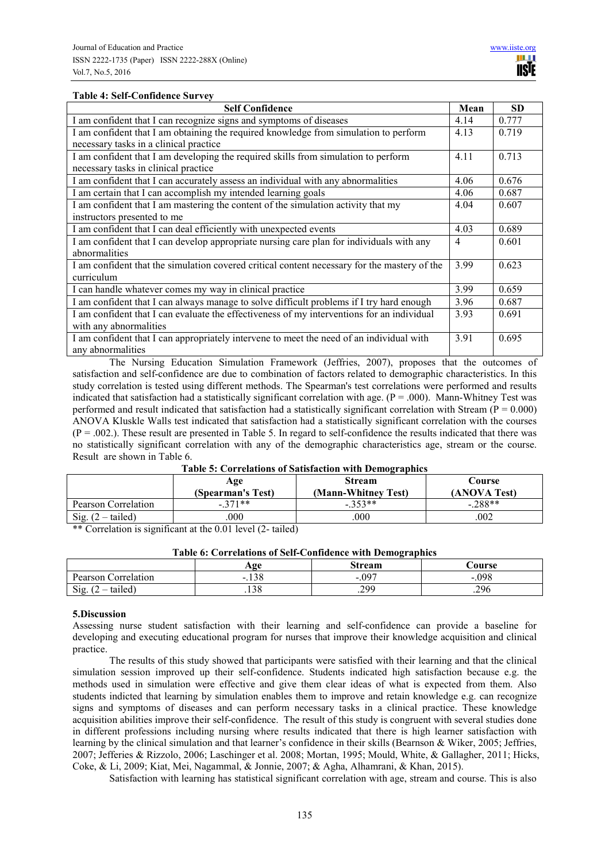**TISTE** 

## **Table 4: Self-Confidence Survey**

| <b>Self Confidence</b>                                                                       | Mean | <b>SD</b> |
|----------------------------------------------------------------------------------------------|------|-----------|
| I am confident that I can recognize signs and symptoms of diseases                           | 4.14 | 0.777     |
| I am confident that I am obtaining the required knowledge from simulation to perform         | 4.13 | 0.719     |
| necessary tasks in a clinical practice                                                       |      |           |
| I am confident that I am developing the required skills from simulation to perform           | 4.11 | 0.713     |
| necessary tasks in clinical practice                                                         |      |           |
| I am confident that I can accurately assess an individual with any abnormalities             | 4.06 | 0.676     |
| I am certain that I can accomplish my intended learning goals                                | 4.06 | 0.687     |
| I am confident that I am mastering the content of the simulation activity that my            | 4.04 | 0.607     |
| instructors presented to me                                                                  |      |           |
| I am confident that I can deal efficiently with unexpected events                            | 4.03 | 0.689     |
| I am confident that I can develop appropriate nursing care plan for individuals with any     | 4    | 0.601     |
| abnormalities                                                                                |      |           |
| I am confident that the simulation covered critical content necessary for the mastery of the | 3.99 | 0.623     |
| curriculum                                                                                   |      |           |
| I can handle whatever comes my way in clinical practice                                      | 3.99 | 0.659     |
| I am confident that I can always manage to solve difficult problems if I try hard enough     | 3.96 | 0.687     |
| I am confident that I can evaluate the effectiveness of my interventions for an individual   | 3.93 | 0.691     |
| with any abnormalities                                                                       |      |           |
| I am confident that I can appropriately intervene to meet the need of an individual with     | 3.91 | 0.695     |
| any abnormalities                                                                            |      |           |

The Nursing Education Simulation Framework (Jeffries, 2007), proposes that the outcomes of satisfaction and self-confidence are due to combination of factors related to demographic characteristics. In this study correlation is tested using different methods. The Spearman's test correlations were performed and results indicated that satisfaction had a statistically significant correlation with age. ( $P = .000$ ). Mann-Whitney Test was performed and result indicated that satisfaction had a statistically significant correlation with Stream ( $P = 0.000$ ) ANOVA Kluskle Walls test indicated that satisfaction had a statistically significant correlation with the courses  $(P = .002)$ . These result are presented in Table 5. In regard to self-confidence the results indicated that there was no statistically significant correlation with any of the demographic characteristics age, stream or the course. Result are shown in Table 6.

|  |  | Table 5: Correlations of Satisfaction with Demographics |  |  |
|--|--|---------------------------------------------------------|--|--|
|--|--|---------------------------------------------------------|--|--|

|                         | Age<br>(Spearman's Test) | <b>Stream</b><br>(Mann-Whitney Test) | Course<br>(ANOVA Test) |
|-------------------------|--------------------------|--------------------------------------|------------------------|
| Pearson Correlation     | $-371**$                 | $-353**$                             | $-.288**$              |
| Sig. $(2)$<br>– tailed) | 000                      | .000                                 | .002                   |

\*\* Correlation is significant at the 0.01 level (2- tailed)

| Table 6: Correlations of Self-Confidence with Demographics |  |  |  |
|------------------------------------------------------------|--|--|--|
|                                                            |  |  |  |

|                        | Age                        | <b>Stream</b> | <b>Course</b> |
|------------------------|----------------------------|---------------|---------------|
| Pearson<br>Correlation | $\Omega$<br>$\sim$<br>.190 | .097<br>-     | .098<br>-     |
| Sig.<br>tailed)        | $\gamma$ $\alpha$<br>. 138 | 200<br>ر ريے. | .296          |

#### **5.Discussion**

Assessing nurse student satisfaction with their learning and self-confidence can provide a baseline for developing and executing educational program for nurses that improve their knowledge acquisition and clinical practice.

The results of this study showed that participants were satisfied with their learning and that the clinical simulation session improved up their self-confidence. Students indicated high satisfaction because e.g. the methods used in simulation were effective and give them clear ideas of what is expected from them. Also students indicted that learning by simulation enables them to improve and retain knowledge e.g. can recognize signs and symptoms of diseases and can perform necessary tasks in a clinical practice. These knowledge acquisition abilities improve their self-confidence. The result of this study is congruent with several studies done in different professions including nursing where results indicated that there is high learner satisfaction with learning by the clinical simulation and that learner's confidence in their skills (Bearnson & Wiker, 2005; Jeffries, 2007; Jefferies & Rizzolo, 2006; Laschinger et al. 2008; Mortan, 1995; Mould, White, & Gallagher, 2011; Hicks, Coke, & Li, 2009; Kiat, Mei, Nagammal, & Jonnie, 2007; & Agha, Alhamrani, & Khan, 2015).

Satisfaction with learning has statistical significant correlation with age, stream and course. This is also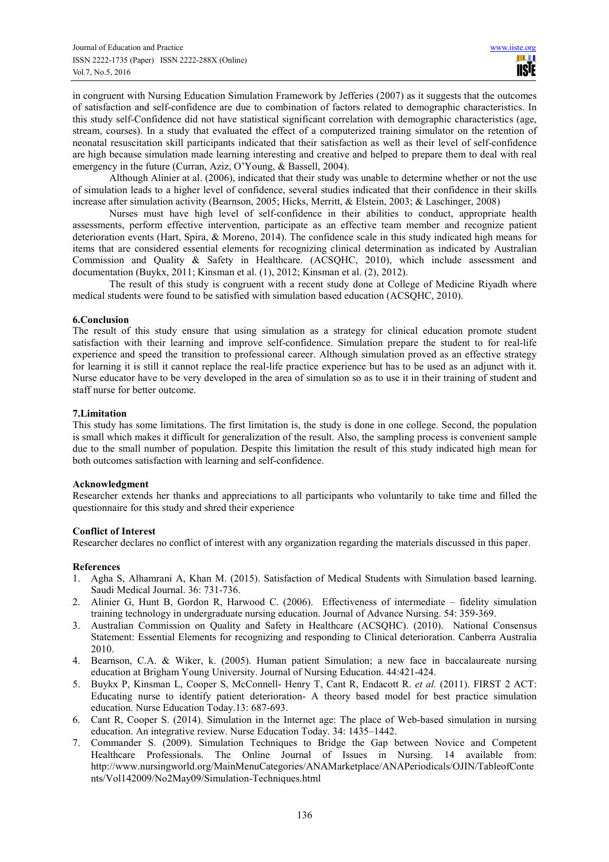in congruent with Nursing Education Simulation Framework by Jefferies (2007) as it suggests that the outcomes of satisfaction and self-confidence are due to combination of factors related to demographic characteristics. In this study self-Confidence did not have statistical significant correlation with demographic characteristics (age, stream, courses). In a study that evaluated the effect of a computerized training simulator on the retention of neonatal resuscitation skill participants indicated that their satisfaction as well as their level of self-confidence are high because simulation made learning interesting and creative and helped to prepare them to deal with real emergency in the future (Curran, Aziz, O'Young, & Bassell, 2004).

Although Alinier at al. (2006), indicated that their study was unable to determine whether or not the use of simulation leads to a higher level of confidence, several studies indicated that their confidence in their skills increase after simulation activity (Bearnson, 2005; Hicks, Merritt, & Elstein, 2003; & Laschinger, 2008)

Nurses must have high level of self-confidence in their abilities to conduct, appropriate health assessments, perform effective intervention, participate as an effective team member and recognize patient deterioration events (Hart, Spira, & Moreno, 2014). The confidence scale in this study indicated high means for items that are considered essential elements for recognizing clinical determination as indicated by Australian Commission and Quality & Safety in Healthcare. (ACSQHC, 2010), which include assessment and documentation (Buykx, 2011; Kinsman et al. (1), 2012; Kinsman et al. (2), 2012).

The result of this study is congruent with a recent study done at College of Medicine Riyadh where medical students were found to be satisfied with simulation based education (ACSQHC, 2010).

## **6.Conclusion**

The result of this study ensure that using simulation as a strategy for clinical education promote student satisfaction with their learning and improve self-confidence. Simulation prepare the student to for real-life experience and speed the transition to professional career. Although simulation proved as an effective strategy for learning it is still it cannot replace the real-life practice experience but has to be used as an adjunct with it. Nurse educator have to be very developed in the area of simulation so as to use it in their training of student and staff nurse for better outcome.

## **7.Limitation**

This study has some limitations. The first limitation is, the study is done in one college. Second, the population is small which makes it difficult for generalization of the result. Also, the sampling process is convenient sample due to the small number of population. Despite this limitation the result of this study indicated high mean for both outcomes satisfaction with learning and self-confidence.

## **Acknowledgment**

Researcher extends her thanks and appreciations to all participants who voluntarily to take time and filled the questionnaire for this study and shred their experience

## **Conflict of Interest**

Researcher declares no conflict of interest with any organization regarding the materials discussed in this paper.

## **References**

- 1. Agha S, Alhamrani A, Khan M. (2015). Satisfaction of Medical Students with Simulation based learning. Saudi Medical Journal. 36: 731-736.
- 2. Alinier G, Hunt B, Gordon R, Harwood C. (2006). Effectiveness of intermediate fidelity simulation training technology in undergraduate nursing education. Journal of Advance Nursing. 54: 359-369.
- 3. Australian Commission on Quality and Safety in Healthcare (ACSQHC). (2010). National Consensus Statement: Essential Elements for recognizing and responding to Clinical deterioration. Canberra Australia 2010.
- 4. Bearnson, C.A. & Wiker, k. (2005). Human patient Simulation; a new face in baccalaureate nursing education at Brigham Young University. Journal of Nursing Education. 44:421-424.
- 5. Buykx P, Kinsman L, Cooper S, McConnell- Henry T, Cant R, Endacott R. *et al.* (2011). FIRST 2 ACT: Educating nurse to identify patient deterioration- A theory based model for best practice simulation education. Nurse Education Today.13: 687-693.
- 6. Cant R, Cooper S. (2014). Simulation in the Internet age: The place of Web-based simulation in nursing education. An integrative review. Nurse Education Today. 34: 1435–1442.
- 7. Commander S. (2009). Simulation Techniques to Bridge the Gap between Novice and Competent Healthcare Professionals. The Online Journal of Issues in Nursing. 14 available from: http://www.nursingworld.org/MainMenuCategories/ANAMarketplace/ANAPeriodicals/OJIN/TableofConte nts/Vol142009/No2May09/Simulation-Techniques.html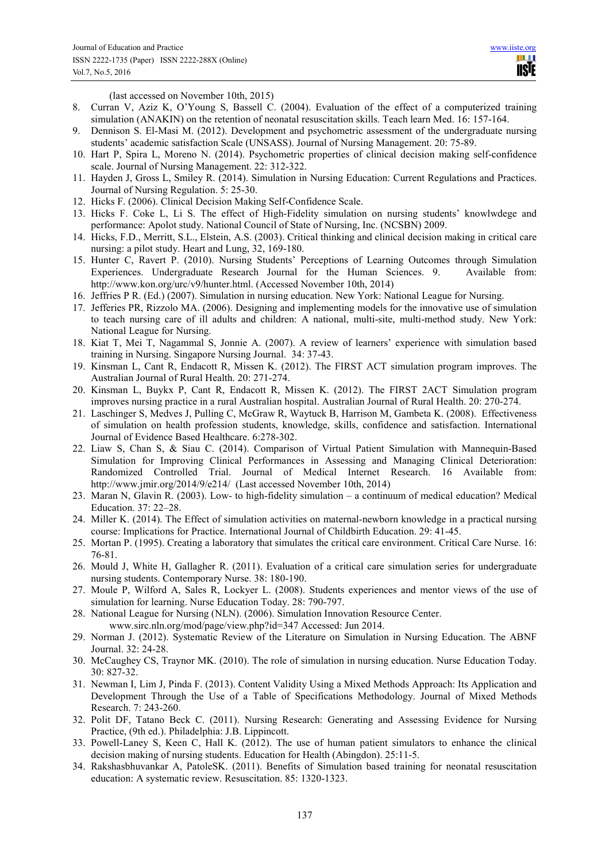HH I **TISIE** 

(last accessed on November 10th, 2015)

- 8. Curran V, Aziz K, O'Young S, Bassell C. (2004). Evaluation of the effect of a computerized training simulation (ANAKIN) on the retention of neonatal resuscitation skills. Teach learn Med. 16: 157-164.
- 9. Dennison S. El-Masi M. (2012). Development and psychometric assessment of the undergraduate nursing students' academic satisfaction Scale (UNSASS). Journal of Nursing Management. 20: 75-89.
- 10. Hart P, Spira L, Moreno N. (2014). Psychometric properties of clinical decision making self-confidence scale. Journal of Nursing Management. 22: 312-322.
- 11. Hayden J, Gross L, Smiley R. (2014). Simulation in Nursing Education: Current Regulations and Practices. Journal of Nursing Regulation. 5: 25-30.
- 12. Hicks F. (2006). Clinical Decision Making Self-Confidence Scale.
- 13. Hicks F. Coke L, Li S. The effect of High-Fidelity simulation on nursing students' knowlwdege and performance: Apolot study. National Council of State of Nursing, Inc. (NCSBN) 2009.
- 14. Hicks, F.D., Merritt, S.L., Elstein, A.S. (2003). Critical thinking and clinical decision making in critical care nursing: a pilot study. Heart and Lung, 32, 169-180.
- 15. Hunter C, Ravert P. (2010). Nursing Students' Perceptions of Learning Outcomes through Simulation Experiences. Undergraduate Research Journal for the Human Sciences. 9. Available from: http://www.kon.org/urc/v9/hunter.html. (Accessed November 10th, 2014)
- 16. Jeffries P R. (Ed.) (2007). Simulation in nursing education. New York: National League for Nursing.
- 17. Jefferies PR, Rizzolo MA. (2006). Designing and implementing models for the innovative use of simulation to teach nursing care of ill adults and children: A national, multi-site, multi-method study. New York: National League for Nursing.
- 18. Kiat T, Mei T, Nagammal S, Jonnie A. (2007). A review of learners' experience with simulation based training in Nursing. Singapore Nursing Journal. 34: 37-43.
- 19. Kinsman L, Cant R, Endacott R, Missen K. (2012). The FIRST ACT simulation program improves. The Australian Journal of Rural Health. 20: 271-274.
- 20. Kinsman L, Buykx P, Cant R, Endacott R, Missen K. (2012). The FIRST 2ACT Simulation program improves nursing practice in a rural Australian hospital. Australian Journal of Rural Health. 20: 270-274.
- 21. Laschinger S, Medves J, Pulling C, McGraw R, Waytuck B, Harrison M, Gambeta K. (2008). Effectiveness of simulation on health profession students, knowledge, skills, confidence and satisfaction. International Journal of Evidence Based Healthcare. 6:278-302.
- 22. Liaw S, Chan S, & Siau C. (2014). Comparison of Virtual Patient Simulation with Mannequin-Based Simulation for Improving Clinical Performances in Assessing and Managing Clinical Deterioration: Randomized Controlled Trial. Journal of Medical Internet Research. 16 Available from: http://www.jmir.org/2014/9/e214/ (Last accessed November 10th, 2014)
- 23. Maran N, Glavin R. (2003). Low- to high-fidelity simulation a continuum of medical education? Medical Education. 37: 22–28.
- 24. Miller K. (2014). The Effect of simulation activities on maternal-newborn knowledge in a practical nursing course: Implications for Practice. International Journal of Childbirth Education. 29: 41-45.
- 25. Mortan P. (1995). Creating a laboratory that simulates the critical care environment. Critical Care Nurse. 16: 76-81.
- 26. Mould J, White H, Gallagher R. (2011). Evaluation of a critical care simulation series for undergraduate nursing students. Contemporary Nurse. 38: 180-190.
- 27. Moule P, Wilford A, Sales R, Lockyer L. (2008). Students experiences and mentor views of the use of simulation for learning. Nurse Education Today. 28: 790-797.
- 28. National League for Nursing (NLN). (2006). Simulation Innovation Resource Center. www.sirc.nln.org/mod/page/view.php?id=347 Accessed: Jun 2014.
- 29. Norman J. (2012). Systematic Review of the Literature on Simulation in Nursing Education. The ABNF Journal. 32: 24-28.
- 30. McCaughey CS, Traynor MK. (2010). The role of simulation in nursing education. Nurse Education Today. 30: 827-32.
- 31. Newman I, Lim J, Pinda F. (2013). Content Validity Using a Mixed Methods Approach: Its Application and Development Through the Use of a Table of Specifications Methodology. Journal of Mixed Methods Research. 7: 243-260.
- 32. Polit DF, Tatano Beck C. (2011). Nursing Research: Generating and Assessing Evidence for Nursing Practice, (9th ed.). Philadelphia: J.B. Lippincott.
- 33. Powell-Laney S, Keen C, Hall K. (2012). The use of human patient simulators to enhance the clinical decision making of nursing students. Education for Health (Abingdon). 25:11-5.
- 34. Rakshasbhuvankar A, PatoleSK. (2011). Benefits of Simulation based training for neonatal resuscitation education: A systematic review. Resuscitation. 85: 1320-1323.